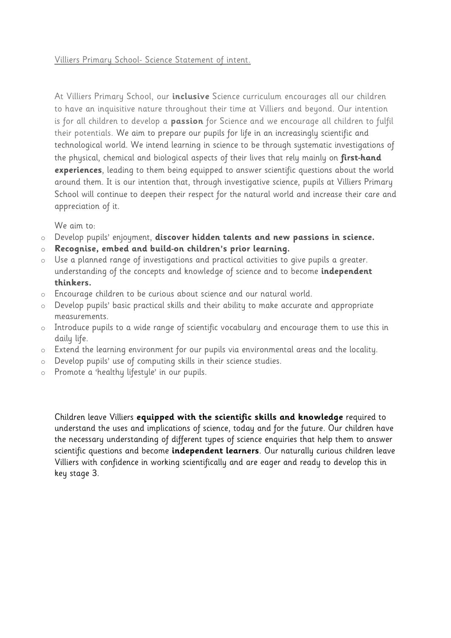#### Villiers Primary School- Science Statement of intent.

At Villiers Primary School, our **inclusive** Science curriculum encourages all our children to have an inquisitive nature throughout their time at Villiers and beyond. Our intention is for all children to develop a **passion** for Science and we encourage all children to fulfil their potentials. We aim to prepare our pupils for life in an increasingly scientific and technological world. We intend learning in science to be through systematic investigations of the physical, chemical and biological aspects of their lives that rely mainly on **first-hand experiences**, leading to them being equipped to answer scientific questions about the world around them. It is our intention that, through investigative science, pupils at Villiers Primary School will continue to deepen their respect for the natural world and increase their care and appreciation of it.

We aim to:

- o Develop pupils' enjoyment, **discover hidden talents and new passions in science.**
- o **Recognise, embed and build-on children's prior learning.**
- o Use a planned range of investigations and practical activities to give pupils a greater. understanding of the concepts and knowledge of science and to become **independent thinkers.**
- o Encourage children to be curious about science and our natural world.
- o Develop pupils' basic practical skills and their ability to make accurate and appropriate measurements.
- o Introduce pupils to a wide range of scientific vocabulary and encourage them to use this in daily life.
- o Extend the learning environment for our pupils via environmental areas and the locality.
- o Develop pupils' use of computing skills in their science studies.
- o Promote a 'healthy lifestyle' in our pupils.

Children leave Villiers **equipped with the scientific skills and knowledge** required to understand the uses and implications of science, today and for the future. Our children have the necessary understanding of different types of science enquiries that help them to answer scientific questions and become **independent learners**. Our naturally curious children leave Villiers with confidence in working scientifically and are eager and ready to develop this in key stage 3.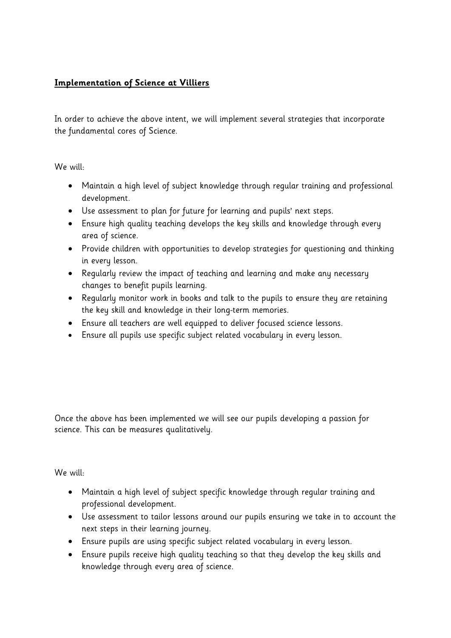# **Implementation of Science at Villiers**

In order to achieve the above intent, we will implement several strategies that incorporate the fundamental cores of Science.

We will:

- Maintain a high level of subject knowledge through regular training and professional development.
- Use assessment to plan for future for learning and pupils' next steps.
- Ensure high quality teaching develops the key skills and knowledge through every area of science.
- Provide children with opportunities to develop strategies for questioning and thinking in every lesson.
- Regularly review the impact of teaching and learning and make any necessary changes to benefit pupils learning.
- Regularly monitor work in books and talk to the pupils to ensure they are retaining the key skill and knowledge in their long-term memories.
- Ensure all teachers are well equipped to deliver focused science lessons.
- Ensure all pupils use specific subject related vocabulary in every lesson.

Once the above has been implemented we will see our pupils developing a passion for science. This can be measures qualitatively.

We will:

- Maintain a high level of subject specific knowledge through regular training and professional development.
- Use assessment to tailor lessons around our pupils ensuring we take in to account the next steps in their learning journey.
- Ensure pupils are using specific subject related vocabulary in every lesson.
- Ensure pupils receive high quality teaching so that they develop the key skills and knowledge through every area of science.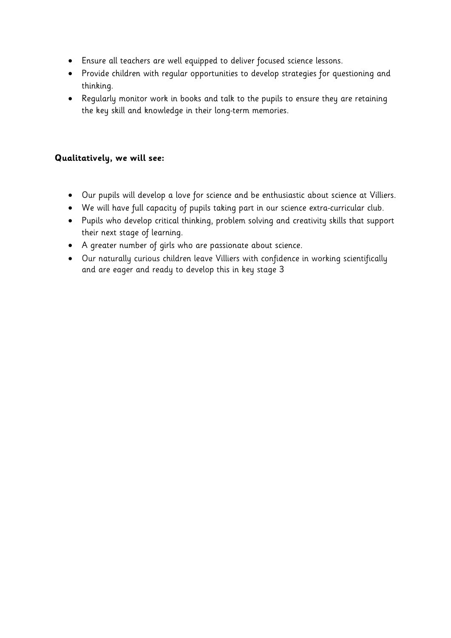- Ensure all teachers are well equipped to deliver focused science lessons.
- Provide children with regular opportunities to develop strategies for questioning and thinking.
- Regularly monitor work in books and talk to the pupils to ensure they are retaining the key skill and knowledge in their long-term memories.

# **Qualitatively, we will see:**

- Our pupils will develop a love for science and be enthusiastic about science at Villiers.
- We will have full capacity of pupils taking part in our science extra-curricular club.
- Pupils who develop critical thinking, problem solving and creativity skills that support their next stage of learning.
- A greater number of girls who are passionate about science.
- Our naturally curious children leave Villiers with confidence in working scientifically and are eager and ready to develop this in key stage 3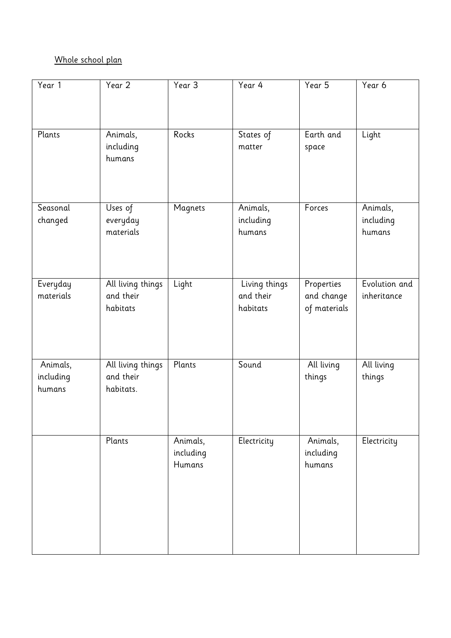# Whole school plan

| Year 1              | Year 2                 | Year 3    | Year 4                | Year 5                     | Year 6        |
|---------------------|------------------------|-----------|-----------------------|----------------------------|---------------|
| Plants              | Animals,               | Rocks     | States of             | Earth and                  | Light         |
|                     | including<br>humans    |           | matter                | space                      |               |
| Seasonal            | Uses of                | Magnets   | Animals,              | Forces                     | Animals,      |
| changed             | everyday               |           | including             |                            | including     |
|                     | materials              |           | humans                |                            | humans        |
|                     |                        |           |                       |                            |               |
| Everyday            | All living things      | Light     | Living things         | Properties                 | Evolution and |
| materials           | and their<br>habitats  |           | and their<br>habitats | and change<br>of materials | inheritance   |
|                     |                        |           |                       |                            |               |
| Animals,            | All living things      | Plants    | Sound                 | All living                 | All living    |
| including<br>humans | and their<br>habitats. |           |                       | things                     | things        |
|                     |                        |           |                       |                            |               |
|                     | Plants                 | Animals,  | Electricity           | Animals,                   | Electricity   |
|                     |                        | including |                       | including                  |               |
|                     |                        | Humans    |                       | humans                     |               |
|                     |                        |           |                       |                            |               |
|                     |                        |           |                       |                            |               |
|                     |                        |           |                       |                            |               |
|                     |                        |           |                       |                            |               |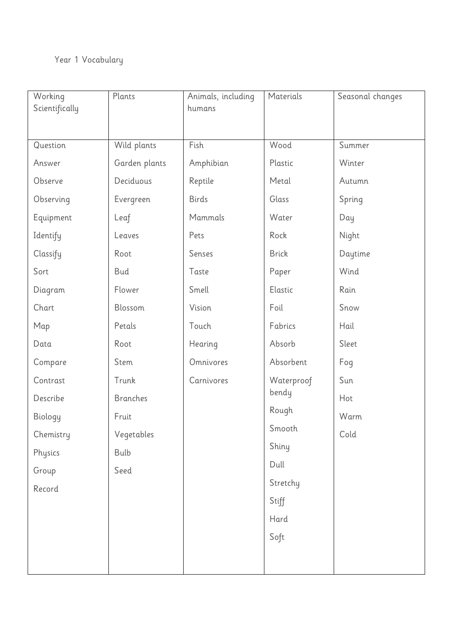# Year 1 Vocabulary

| Working        | Plants          | Animals, including | Materials    | Seasonal changes |
|----------------|-----------------|--------------------|--------------|------------------|
| Scientifically |                 | humans             |              |                  |
|                |                 |                    |              |                  |
| Question       | Wild plants     | Fish               | Wood         | Summer           |
| Answer         | Garden plants   | Amphibian          | Plastic      | Winter           |
| Observe        | Deciduous       | Reptile            | Metal        | Autumn           |
| Observing      | Evergreen       | <b>Birds</b>       | Glass        | Spring           |
| Equipment      | Leaf            | Mammals            | Water        | Day              |
| Identify       | Leaves          | Pets               | Rock         | Night            |
| Classify       | Root            | Senses             | <b>Brick</b> | Daytime          |
| Sort           | Bud             | Taste              | Paper        | Wind             |
| Diagram        | Flower          | Smell              | Elastic      | Rain             |
| Chart          | Blossom         | Vision             | Foil         | Snow             |
| Map            | Petals          | Touch              | Fabrics      | Hail             |
| Data           | Root            | Hearing            | Absorb       | Sleet            |
| Compare        | Stem            | Omnivores          | Absorbent    | Fog              |
| Contrast       | Trunk           | Carnivores         | Waterproof   | Sun              |
| Describe       | <b>Branches</b> |                    | bendy        | Hot              |
| Biology        | Fruit           |                    | Rough        | Warm             |
| Chemistry      | Vegetables      |                    | Smooth       | Cold             |
| Physics        | Bulb            |                    | Shiny        |                  |
| Group          | Seed            |                    | Dull         |                  |
| Record         |                 |                    | Stretchy     |                  |
|                |                 |                    | Stiff        |                  |
|                |                 |                    | Hard         |                  |
|                |                 |                    | Soft         |                  |
|                |                 |                    |              |                  |
|                |                 |                    |              |                  |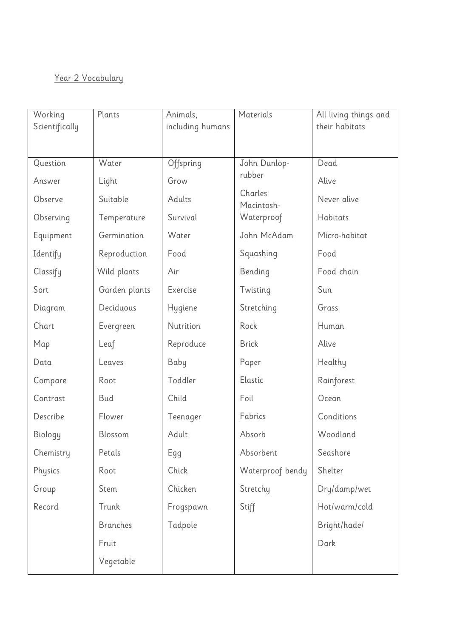# Year 2 Vocabulary

| Working        | Plants          | Animals,         | Materials             | All living things and |
|----------------|-----------------|------------------|-----------------------|-----------------------|
| Scientifically |                 | including humans |                       | their habitats        |
|                |                 |                  |                       |                       |
| Question       | Water           | Offspring        | John Dunlop-          | Dead                  |
| Answer         | Light           | Grow             | rubber                | Alive                 |
| Observe        | Suitable        | Adults           | Charles<br>Macintosh- | Never alive           |
| Observing      | Temperature     | Survival         | Waterproof            | Habitats              |
| Equipment      | Germination     | Water            | John McAdam           | Micro-habitat         |
| Identify       | Reproduction    | Food             | Squashing             | Food                  |
| Classify       | Wild plants     | Air              | Bending               | Food chain            |
| Sort           | Garden plants   | Exercise         | Twisting              | Sun                   |
| Diagram        | Deciduous       | Hygiene          | Stretching            | Grass                 |
| Chart          | Evergreen       | Nutrition        | Rock                  | Human                 |
| Map            | Leaf            | Reproduce        | <b>Brick</b>          | Alive                 |
| Data           | Leaves          | Baby             | Paper                 | Healthy               |
| Compare        | Root            | Toddler          | Elastic               | Rainforest            |
| Contrast       | <b>Bud</b>      | Child            | Foil                  | Ocean                 |
| Describe       | Flower          | Teenager         | Fabrics               | Conditions            |
| Biology        | Blossom         | Adult            | Absorb                | Woodland              |
| Chemistry      | Petals          | Egg              | Absorbent             | Seashore              |
| Physics        | Root            | Chick            | Waterproof bendy      | Shelter               |
| Group          | Stem            | Chicken          | Stretchy              | Dry/damp/wet          |
| Record         | Trunk           | Frogspawn        | Stiff                 | Hot/warm/cold         |
|                | <b>Branches</b> | Tadpole          |                       | Bright/hade/          |
|                | Fruit           |                  |                       | Dark                  |
|                | Vegetable       |                  |                       |                       |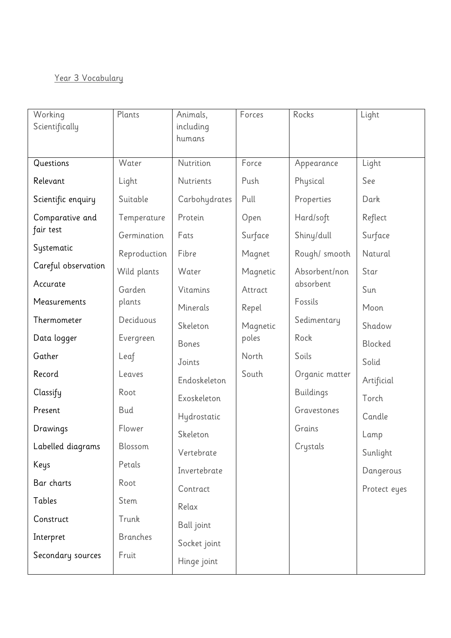# Year 3 Vocabulary

| Working<br>Scientifically | Plants          | Animals,<br>including<br>humans | Forces   | Rocks            | Light        |
|---------------------------|-----------------|---------------------------------|----------|------------------|--------------|
| Questions                 | Water           | Nutrition                       | Force    | Appearance       | Light        |
| Relevant                  | Light           | Nutrients                       | Push     | Physical         | See          |
| Scientific enquiry        | Suitable        | Carbohydrates                   | Pull     | Properties       | Dark         |
| Comparative and           | Temperature     | Protein                         | Open     | Hard/soft        | Reflect      |
| fair test                 | Germination     | Fats                            | Surface  | Shiny/dull       | Surface      |
| Systematic                | Reproduction    | Fibre                           | Magnet   | Rough/ smooth    | Natural      |
| Careful observation       | Wild plants     | Water                           | Magnetic | Absorbent/non    | Star         |
| Accurate                  | Garden          | Vitamins                        | Attract  | absorbent        | Sun          |
| Measurements              | plants          | Minerals                        | Repel    | Fossils          | Moon         |
| Thermometer               | Deciduous       | Skeleton                        | Magnetic | Sedimentary      | Shadow       |
| Data logger               | Evergreen       | <b>Bones</b>                    | poles    | Rock             | Blocked      |
| Gather                    | Leaf            | Joints                          | North    | Soils            | Solid        |
| Record                    | Leaves          | Endoskeleton                    | South    | Organic matter   | Artificial   |
| Classify                  | Root            | Exoskeleton                     |          | <b>Buildings</b> | Torch        |
| Present                   | Bud             | Hydrostatic                     |          | Gravestones      | Candle       |
| Drawings                  | Flower          | Skeleton                        |          | Grains           | Lamp         |
| Labelled diagrams         | Blossom         | Vertebrate                      |          | Crystals         | Sunlight     |
| Keys                      | Petals          | Invertebrate                    |          |                  | Dangerous    |
| Bar charts                | Root            | Contract                        |          |                  | Protect eyes |
| Tables                    | Stem            | Relax                           |          |                  |              |
| Construct                 | Trunk           | Ball joint                      |          |                  |              |
| Interpret                 | <b>Branches</b> | Socket joint                    |          |                  |              |
| Secondary sources         | Fruit           | Hinge joint                     |          |                  |              |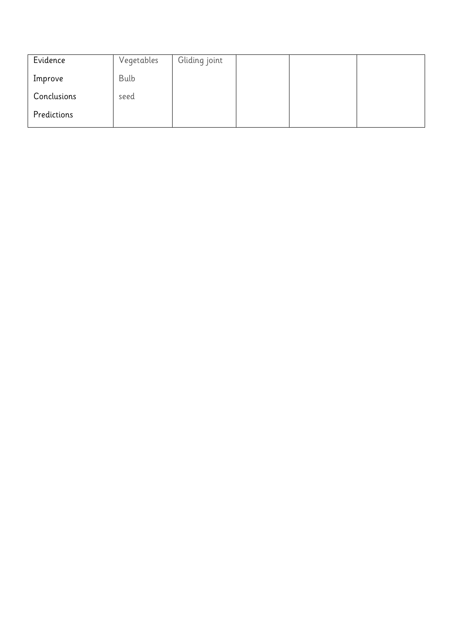| Evidence    | Vegetables | Gliding joint |  |  |
|-------------|------------|---------------|--|--|
| Improve     | Bulb       |               |  |  |
| Conclusions | seed       |               |  |  |
| Predictions |            |               |  |  |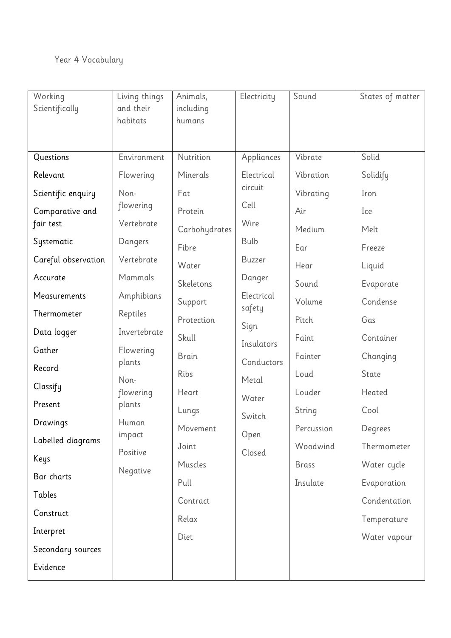# Year 4 Vocabulary

| Working             | Living things     | Animals,      | Electricity          | Sound        | States of matter |
|---------------------|-------------------|---------------|----------------------|--------------|------------------|
| Scientifically      | and their         | including     |                      |              |                  |
|                     | habitats          | humans        |                      |              |                  |
|                     |                   |               |                      |              |                  |
| Questions           | Environment       | Nutrition     | Appliances           | Vibrate      | Solid            |
| Relevant            | Flowering         | Minerals      | Electrical           | Vibration    | Solidify         |
| Scientific enquiry  | Non-              | Fat           | circuit              | Vibrating    | Iron             |
| Comparative and     | flowering         | Protein       | Cell                 | Air          | Ice              |
| fair test           | Vertebrate        | Carbohydrates | Wire                 | Medium       | Melt             |
| Systematic          | Dangers           | Fibre         | Bulb                 | Ear          | Freeze           |
| Careful observation | Vertebrate        | Water         | Buzzer               | Hear         | Liquid           |
| Accurate            | Mammals           | Skeletons     | Danger               | Sound        | Evaporate        |
| Measurements        | Amphibians        | Support       | Electrical<br>safety | Volume       | Condense         |
| Thermometer         | Reptiles          | Protection    | Sign                 | Pitch        | Gas              |
| Data logger         | Invertebrate      | Skull         | Insulators           | Faint        | Container        |
| Gather              | Flowering         | <b>Brain</b>  | Conductors           | Fainter      | Changing         |
| Record              | plants            | Ribs          |                      | Loud         | State            |
| Classify            | Non-<br>flowering | Heart         | Metal                | Louder       | Heated           |
| Present             | plants            | Lungs         | Water                | String       | Cool             |
| Drawings            | Human             | Movement      | Switch               | Percussion   | Degrees          |
| Labelled diagrams   | impact            | Joint         | Open                 | Woodwind     | Thermometer      |
| Keys                | Positive          | Muscles       | Closed               | <b>Brass</b> | Water cycle      |
| Bar charts          | Negative          | Pull          |                      | Insulate     | Evaporation      |
| Tables              |                   | Contract      |                      |              | Condentation     |
| Construct           |                   | Relax         |                      |              | Temperature      |
| Interpret           |                   | Diet          |                      |              | Water vapour     |
| Secondary sources   |                   |               |                      |              |                  |
| Evidence            |                   |               |                      |              |                  |
|                     |                   |               |                      |              |                  |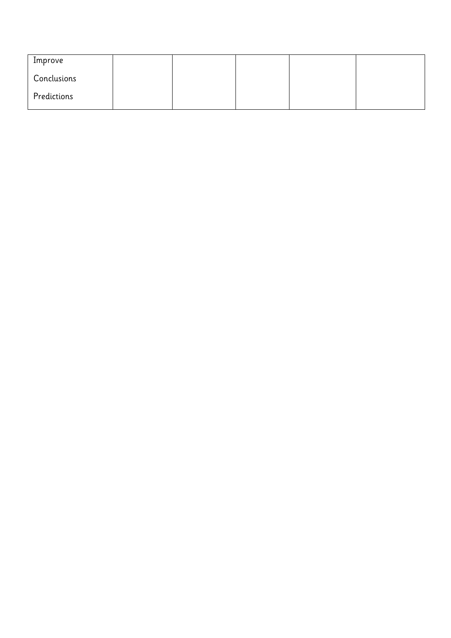| Improve     |  |  |  |
|-------------|--|--|--|
| Conclusions |  |  |  |
| Predictions |  |  |  |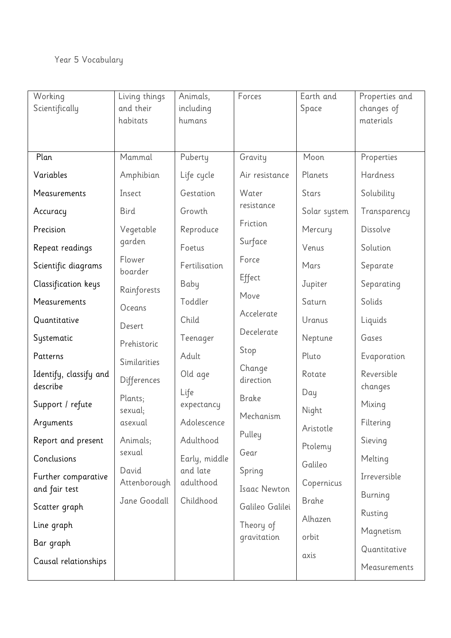# Year 5 Vocabulary

| Working                | Living things         | Animals,              | Forces                   | Earth and    | Properties and |
|------------------------|-----------------------|-----------------------|--------------------------|--------------|----------------|
| Scientifically         | and their             | including             |                          | Space        | changes of     |
|                        | habitats              | humans                |                          |              | materials      |
|                        |                       |                       |                          |              |                |
| Plan                   | Mammal                | Puberty               | Gravity                  | Moon         | Properties     |
| Variables              | Amphibian             | Life cycle            | Air resistance           | Planets      | Hardness       |
| Measurements           | Insect                | Gestation             | Water                    | <b>Stars</b> | Solubility     |
| Accuracy               | <b>Bird</b>           | Growth                | resistance               | Solar system | Transparency   |
| Precision              | Vegetable             | Reproduce             | Friction                 | Mercury      | Dissolve       |
| Repeat readings        | garden                | Foetus                | Surface                  | Venus        | Solution       |
| Scientific diagrams    | Flower<br>boarder     | Fertilisation         | Force                    | Mars         | Separate       |
| Classification keys    | Rainforests           | Baby                  | Effect                   | Jupiter      | Separating     |
| Measurements           | Oceans                | Toddler               | Move                     | Saturn       | Solids         |
| Quantitative           | Desert                | Child                 | Accelerate               | Uranus       | Liquids        |
| Systematic             | Prehistoric           | Teenager              | Decelerate               | Neptune      | Gases          |
| Patterns               | Similarities          | Adult                 | Stop                     | Pluto        | Evaporation    |
| Identify, classify and | Differences           | Old age               | Change<br>direction      | Rotate       | Reversible     |
| describe               | Plants;               | Life                  | <b>Brake</b>             | Day          | changes        |
| Support / refute       | sexual;               | expectancy            | Mechanism                | Night        | Mixing         |
| Arguments              | asexual               | Adolescence           |                          | Aristotle    | Filtering      |
| Report and present     | Animals;              | Adulthood             | Pulley                   | Ptolemy      | Sieving        |
| Conclusions            | sexual                | Early, middle         | Gear                     | Galileo      | Melting        |
| Further comparative    | David<br>Attenborough | and late<br>adulthood | Spring                   | Copernicus   | Irreversible   |
| and fair test          | Jane Goodall          | Childhood             | <b>Isaac Newton</b>      | <b>Brahe</b> | Burning        |
| Scatter graph          |                       |                       | Galileo Galilei          | Alhazen      | Rusting        |
| Line graph             |                       |                       | Theory of<br>gravitation | orbit        | Magnetism      |
| Bar graph              |                       |                       |                          |              | Quantitative   |
| Causal relationships   |                       |                       |                          | axis         | Measurements   |
|                        |                       |                       |                          |              |                |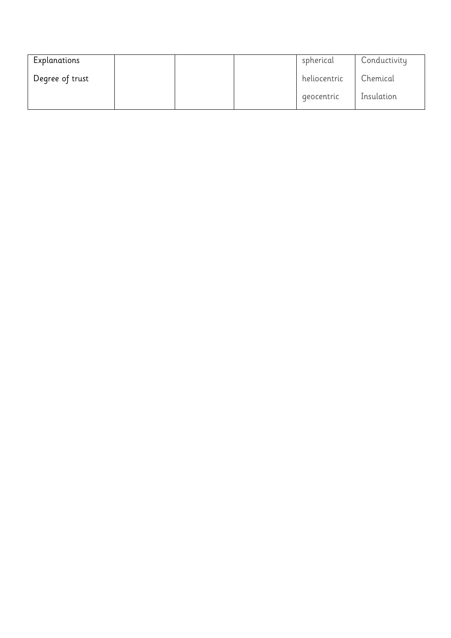| Explanations    |  | spherical    | Conductivity |
|-----------------|--|--------------|--------------|
| Degree of trust |  | heliocentric | Chemical     |
|                 |  | geocentric   | Insulation   |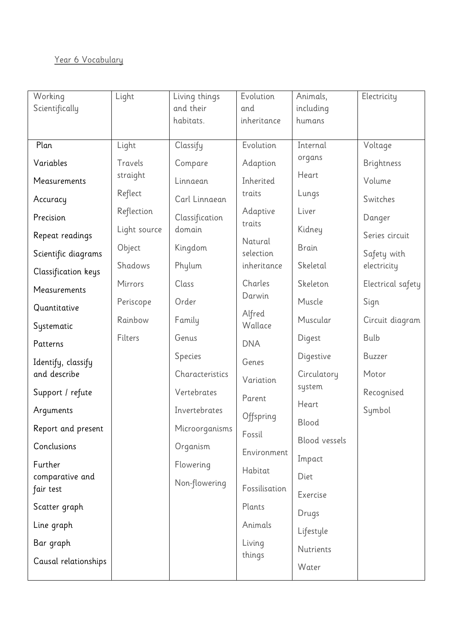# Year 6 Vocabulary

| Working                    | Light        | Living things   | Evolution            | Animals,        | Electricity       |
|----------------------------|--------------|-----------------|----------------------|-----------------|-------------------|
| Scientifically             |              | and their       | and                  | including       |                   |
|                            |              | habitats.       | inheritance          | humans          |                   |
| Plan                       | Light        | Classify        | Evolution            | Internal        | Voltage           |
| Variables                  | Travels      | Compare         | Adaption             | organs          | Brightness        |
| Measurements               | straight     | Linnaean        | Inherited            | Heart           | Volume            |
| Accuracy                   | Reflect      | Carl Linnaean   | traits               | Lungs           | Switches          |
| Precision                  | Reflection   | Classification  | Adaptive             | Liver           | Danger            |
| Repeat readings            | Light source | domain          | traits               | Kidney          | Series circuit    |
| Scientific diagrams        | Object       | Kingdom         | Natural<br>selection | <b>Brain</b>    | Safety with       |
| Classification keys        | Shadows      | Phylum          | inheritance          | Skeletal        | electricity       |
| Measurements               | Mirrors      | Class           | Charles              | Skeleton        | Electrical safety |
| Quantitative               | Periscope    | Order           | Darwin               | Muscle          | Sign              |
| Systematic                 | Rainbow      | Family          | Alfred<br>Wallace    | Muscular        | Circuit diagram   |
| Patterns                   | Filters      | Genus           | <b>DNA</b>           | Digest          | Bulb              |
| Identify, classify         |              | Species         | Genes                | Digestive       | <b>Buzzer</b>     |
| and describe               |              | Characteristics | Variation            | Circulatory     | Motor             |
| Support / refute           |              | Vertebrates     | Parent               | system<br>Heart | Recognised        |
| Arguments                  |              | Invertebrates   | Offspring            | Blood           | Symbol            |
| Report and present         |              | Microorganisms  | Fossil               | Blood vessels   |                   |
| Conclusions                |              | Organism        | Environment          | Impact          |                   |
| Further<br>comparative and |              | Flowering       | Habitat              | Diet            |                   |
| fair test                  |              | Non-flowering   | Fossilisation        | Exercise        |                   |
| Scatter graph              |              |                 | Plants               | Drugs           |                   |
| Line graph                 |              |                 | Animals              | Lifestyle       |                   |
| Bar graph                  |              |                 | Living               | Nutrients       |                   |
| Causal relationships       |              |                 | things               | Water           |                   |
|                            |              |                 |                      |                 |                   |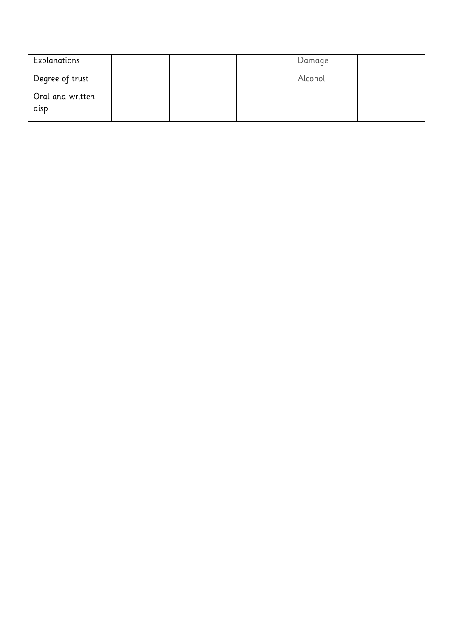| Explanations             |  | Damage  |  |
|--------------------------|--|---------|--|
| Degree of trust          |  | Alcohol |  |
| Oral and written<br>disp |  |         |  |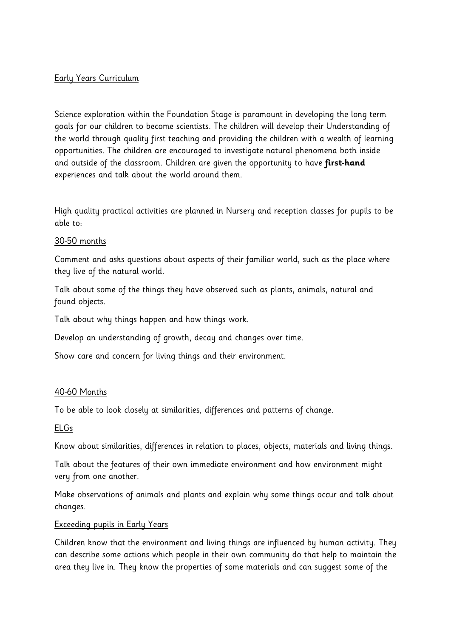## Early Years Curriculum

Science exploration within the Foundation Stage is paramount in developing the long term goals for our children to become scientists. The children will develop their Understanding of the world through quality first teaching and providing the children with a wealth of learning opportunities. The children are encouraged to investigate natural phenomena both inside and outside of the classroom. Children are given the opportunity to have **first-hand** experiences and talk about the world around them.

High quality practical activities are planned in Nursery and reception classes for pupils to be able to:

#### 30-50 months

Comment and asks questions about aspects of their familiar world, such as the place where they live of the natural world.

Talk about some of the things they have observed such as plants, animals, natural and found objects.

Talk about why things happen and how things work.

Develop an understanding of growth, decay and changes over time.

Show care and concern for living things and their environment.

#### 40-60 Months

To be able to look closely at similarities, differences and patterns of change.

#### ELGs

Know about similarities, differences in relation to places, objects, materials and living things.

Talk about the features of their own immediate environment and how environment might very from one another.

Make observations of animals and plants and explain why some things occur and talk about changes.

#### Exceeding pupils in Early Years

Children know that the environment and living things are influenced by human activity. They can describe some actions which people in their own community do that help to maintain the area they live in. They know the properties of some materials and can suggest some of the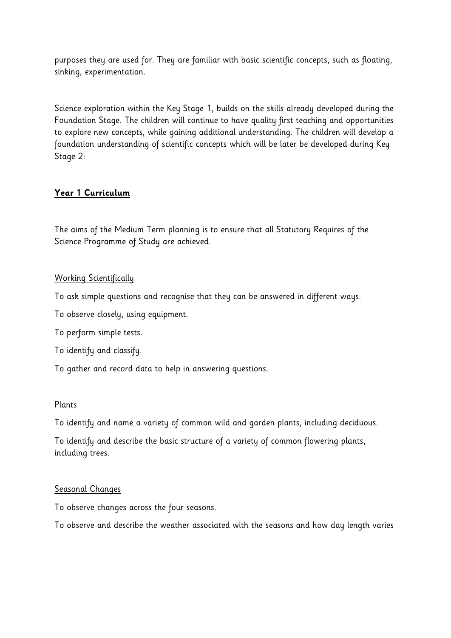purposes they are used for. They are familiar with basic scientific concepts, such as floating, sinking, experimentation.

Science exploration within the Key Stage 1, builds on the skills already developed during the Foundation Stage. The children will continue to have quality first teaching and opportunities to explore new concepts, while gaining additional understanding. The children will develop a foundation understanding of scientific concepts which will be later be developed during Key Stage 2:

# **Year 1 Curriculum**

The aims of the Medium Term planning is to ensure that all Statutory Requires of the Science Programme of Study are achieved.

### Working Scientifically

To ask simple questions and recognise that they can be answered in different ways.

To observe closely, using equipment.

To perform simple tests.

To identify and classify.

To gather and record data to help in answering questions.

# Plants

To identify and name a variety of common wild and garden plants, including deciduous.

To identify and describe the basic structure of a variety of common flowering plants, including trees.

#### Seasonal Changes

To observe changes across the four seasons.

To observe and describe the weather associated with the seasons and how day length varies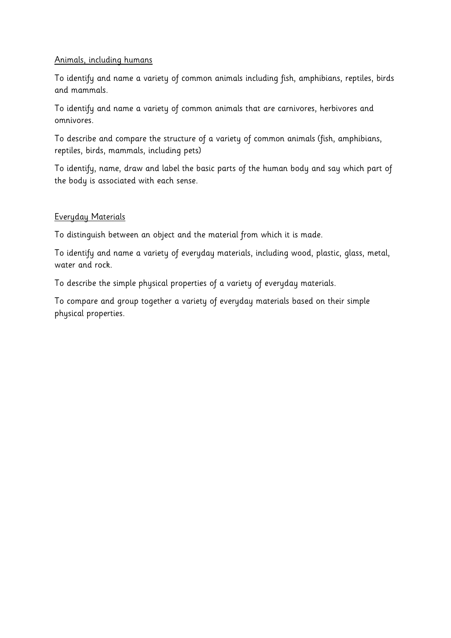#### Animals, including humans

To identify and name a variety of common animals including fish, amphibians, reptiles, birds and mammals.

To identify and name a variety of common animals that are carnivores, herbivores and omnivores.

To describe and compare the structure of a variety of common animals (fish, amphibians, reptiles, birds, mammals, including pets)

To identify, name, draw and label the basic parts of the human body and say which part of the body is associated with each sense.

#### Everyday Materials

To distinguish between an object and the material from which it is made.

To identify and name a variety of everyday materials, including wood, plastic, glass, metal, water and rock.

To describe the simple physical properties of a variety of everyday materials.

To compare and group together a variety of everyday materials based on their simple physical properties.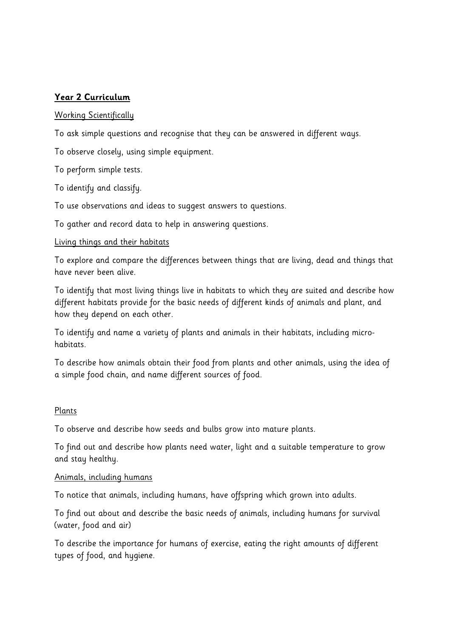# **Year 2 Curriculum**

#### Working Scientifically

To ask simple questions and recognise that they can be answered in different ways.

To observe closely, using simple equipment.

To perform simple tests.

To identify and classify.

To use observations and ideas to suggest answers to questions.

To gather and record data to help in answering questions.

#### Living things and their habitats

To explore and compare the differences between things that are living, dead and things that have never been alive.

To identify that most living things live in habitats to which they are suited and describe how different habitats provide for the basic needs of different kinds of animals and plant, and how they depend on each other.

To identify and name a variety of plants and animals in their habitats, including microhabitats.

To describe how animals obtain their food from plants and other animals, using the idea of a simple food chain, and name different sources of food.

#### Plants

To observe and describe how seeds and bulbs grow into mature plants.

To find out and describe how plants need water, light and a suitable temperature to grow and stay healthy.

#### Animals, including humans

To notice that animals, including humans, have offspring which grown into adults.

To find out about and describe the basic needs of animals, including humans for survival (water, food and air)

To describe the importance for humans of exercise, eating the right amounts of different types of food, and hygiene.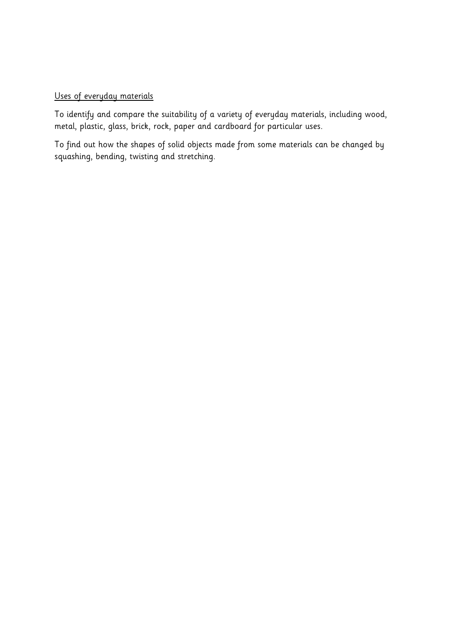#### Uses of everyday materials

To identify and compare the suitability of a variety of everyday materials, including wood, metal, plastic, glass, brick, rock, paper and cardboard for particular uses.

To find out how the shapes of solid objects made from some materials can be changed by squashing, bending, twisting and stretching.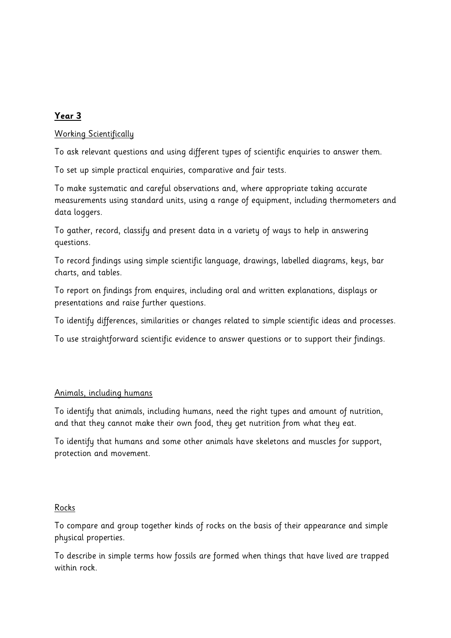# **Year 3**

## Working Scientifically

To ask relevant questions and using different types of scientific enquiries to answer them.

To set up simple practical enquiries, comparative and fair tests.

To make systematic and careful observations and, where appropriate taking accurate measurements using standard units, using a range of equipment, including thermometers and data loggers.

To gather, record, classify and present data in a variety of ways to help in answering questions.

To record findings using simple scientific language, drawings, labelled diagrams, keys, bar charts, and tables.

To report on findings from enquires, including oral and written explanations, displays or presentations and raise further questions.

To identify differences, similarities or changes related to simple scientific ideas and processes.

To use straightforward scientific evidence to answer questions or to support their findings.

#### Animals, including humans

To identify that animals, including humans, need the right types and amount of nutrition, and that they cannot make their own food, they get nutrition from what they eat.

To identify that humans and some other animals have skeletons and muscles for support, protection and movement.

#### Rocks

To compare and group together kinds of rocks on the basis of their appearance and simple physical properties.

To describe in simple terms how fossils are formed when things that have lived are trapped within rock.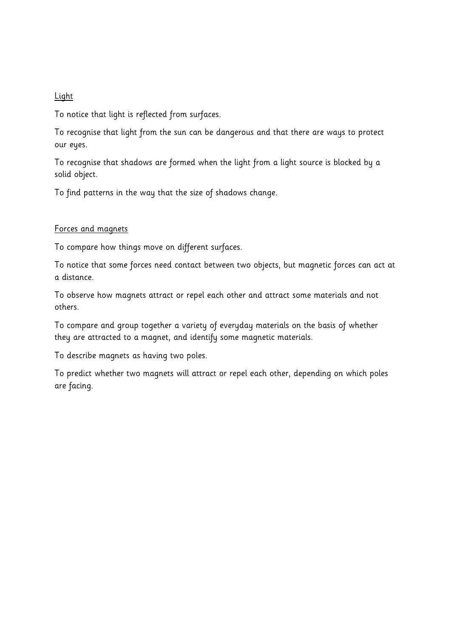#### Light

To notice that light is reflected from surfaces.

To recognise that light from the sun can be dangerous and that there are ways to protect our eyes.

To recognise that shadows are formed when the light from a light source is blocked by a solid object.

To find patterns in the way that the size of shadows change.

#### Forces and magnets

To compare how things move on different surfaces.

To notice that some forces need contact between two objects, but magnetic forces can act at a distance.

To observe how magnets attract or repel each other and attract some materials and not others.

To compare and group together a variety of everyday materials on the basis of whether they are attracted to a magnet, and identify some magnetic materials.

To describe magnets as having two poles.

To predict whether two magnets will attract or repel each other, depending on which poles are facing.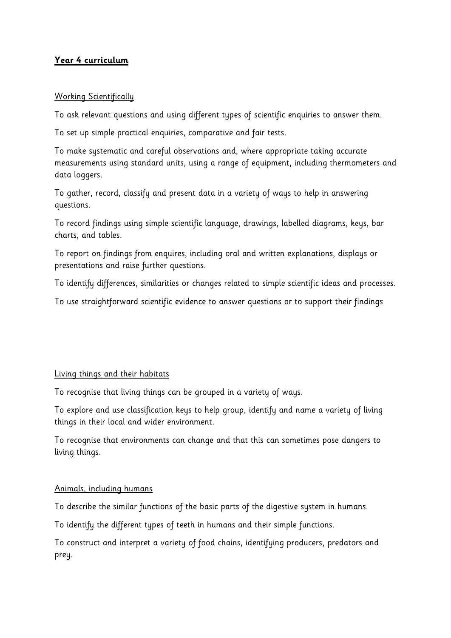# **Year 4 curriculum**

### Working Scientifically

To ask relevant questions and using different types of scientific enquiries to answer them.

To set up simple practical enquiries, comparative and fair tests.

To make systematic and careful observations and, where appropriate taking accurate measurements using standard units, using a range of equipment, including thermometers and data loggers.

To gather, record, classify and present data in a variety of ways to help in answering questions.

To record findings using simple scientific language, drawings, labelled diagrams, keys, bar charts, and tables.

To report on findings from enquires, including oral and written explanations, displays or presentations and raise further questions.

To identify differences, similarities or changes related to simple scientific ideas and processes.

To use straightforward scientific evidence to answer questions or to support their findings

#### Living things and their habitats

To recognise that living things can be grouped in a variety of ways.

To explore and use classification keys to help group, identify and name a variety of living things in their local and wider environment.

To recognise that environments can change and that this can sometimes pose dangers to living things.

#### Animals, including humans

To describe the similar functions of the basic parts of the digestive system in humans.

To identify the different types of teeth in humans and their simple functions.

To construct and interpret a variety of food chains, identifying producers, predators and prey.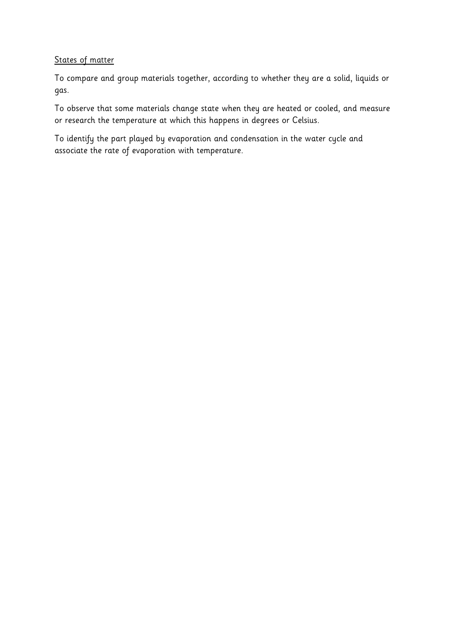## States of matter

To compare and group materials together, according to whether they are a solid, liquids or gas.

To observe that some materials change state when they are heated or cooled, and measure or research the temperature at which this happens in degrees or Celsius.

To identify the part played by evaporation and condensation in the water cycle and associate the rate of evaporation with temperature.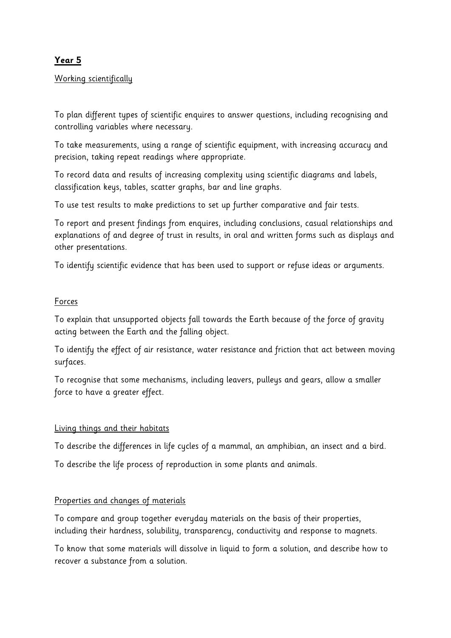# **Year 5**

## Working scientifically

To plan different types of scientific enquires to answer questions, including recognising and controlling variables where necessary.

To take measurements, using a range of scientific equipment, with increasing accuracy and precision, taking repeat readings where appropriate.

To record data and results of increasing complexity using scientific diagrams and labels, classification keys, tables, scatter graphs, bar and line graphs.

To use test results to make predictions to set up further comparative and fair tests.

To report and present findings from enquires, including conclusions, casual relationships and explanations of and degree of trust in results, in oral and written forms such as displays and other presentations.

To identify scientific evidence that has been used to support or refuse ideas or arguments.

#### Forces

To explain that unsupported objects fall towards the Earth because of the force of gravity acting between the Earth and the falling object.

To identify the effect of air resistance, water resistance and friction that act between moving surfaces.

To recognise that some mechanisms, including leavers, pulleys and gears, allow a smaller force to have a greater effect.

#### Living things and their habitats

To describe the differences in life cycles of a mammal, an amphibian, an insect and a bird.

To describe the life process of reproduction in some plants and animals.

# Properties and changes of materials

To compare and group together everyday materials on the basis of their properties, including their hardness, solubility, transparency, conductivity and response to magnets.

To know that some materials will dissolve in liquid to form a solution, and describe how to recover a substance from a solution.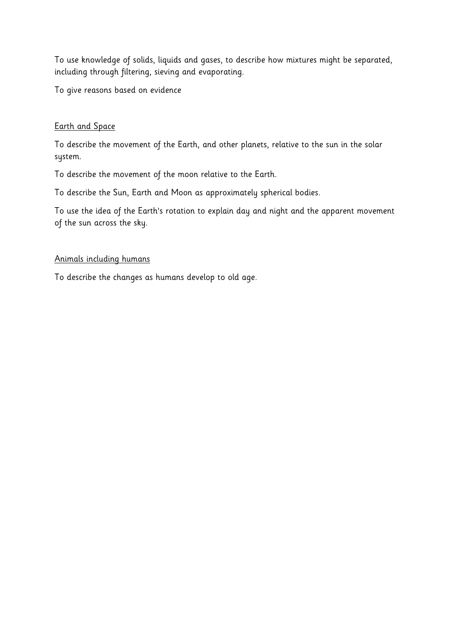To use knowledge of solids, liquids and gases, to describe how mixtures might be separated, including through filtering, sieving and evaporating.

To give reasons based on evidence

## Earth and Space

To describe the movement of the Earth, and other planets, relative to the sun in the solar system.

To describe the movement of the moon relative to the Earth.

To describe the Sun, Earth and Moon as approximately spherical bodies.

To use the idea of the Earth's rotation to explain day and night and the apparent movement of the sun across the sky.

#### Animals including humans

To describe the changes as humans develop to old age.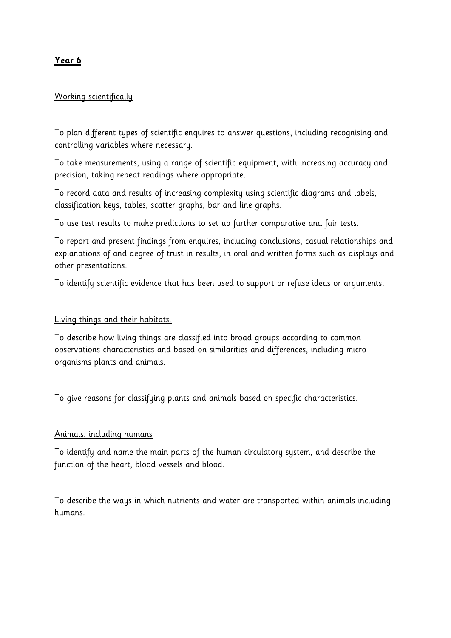# **Year 6**

### Working scientifically

To plan different types of scientific enquires to answer questions, including recognising and controlling variables where necessary.

To take measurements, using a range of scientific equipment, with increasing accuracy and precision, taking repeat readings where appropriate.

To record data and results of increasing complexity using scientific diagrams and labels, classification keys, tables, scatter graphs, bar and line graphs.

To use test results to make predictions to set up further comparative and fair tests.

To report and present findings from enquires, including conclusions, casual relationships and explanations of and degree of trust in results, in oral and written forms such as displays and other presentations.

To identify scientific evidence that has been used to support or refuse ideas or arguments.

#### Living things and their habitats.

To describe how living things are classified into broad groups according to common observations characteristics and based on similarities and differences, including microorganisms plants and animals.

To give reasons for classifying plants and animals based on specific characteristics.

#### Animals, including humans

To identify and name the main parts of the human circulatory system, and describe the function of the heart, blood vessels and blood.

To describe the ways in which nutrients and water are transported within animals including humans.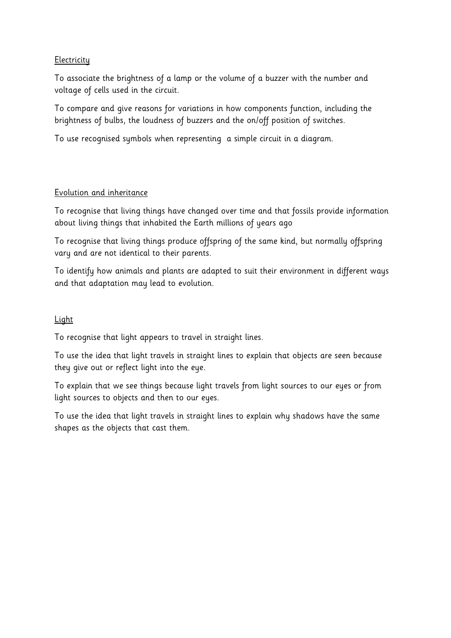## **Electricity**

To associate the brightness of a lamp or the volume of a buzzer with the number and voltage of cells used in the circuit.

To compare and give reasons for variations in how components function, including the brightness of bulbs, the loudness of buzzers and the on/off position of switches.

To use recognised symbols when representing a simple circuit in a diagram.

### Evolution and inheritance

To recognise that living things have changed over time and that fossils provide information about living things that inhabited the Earth millions of years ago

To recognise that living things produce offspring of the same kind, but normally offspring vary and are not identical to their parents.

To identify how animals and plants are adapted to suit their environment in different ways and that adaptation may lead to evolution.

## Light

To recognise that light appears to travel in straight lines.

To use the idea that light travels in straight lines to explain that objects are seen because they give out or reflect light into the eye.

To explain that we see things because light travels from light sources to our eyes or from light sources to objects and then to our eyes.

To use the idea that light travels in straight lines to explain why shadows have the same shapes as the objects that cast them.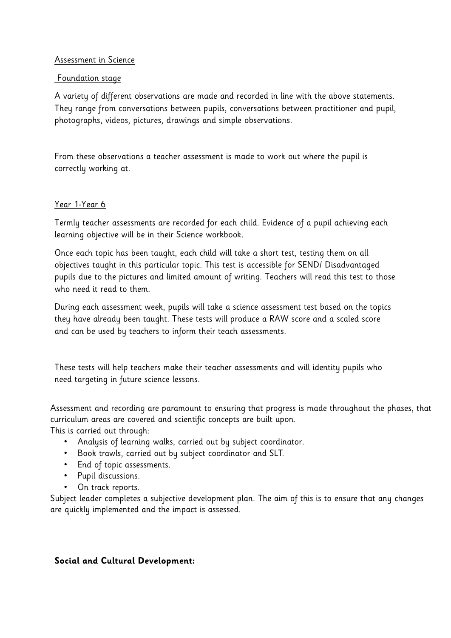#### Assessment in Science

#### Foundation stage

A variety of different observations are made and recorded in line with the above statements. They range from conversations between pupils, conversations between practitioner and pupil, photographs, videos, pictures, drawings and simple observations.

From these observations a teacher assessment is made to work out where the pupil is correctly working at.

### Year 1-Year 6

Termly teacher assessments are recorded for each child. Evidence of a pupil achieving each learning objective will be in their Science workbook.

Once each topic has been taught, each child will take a short test, testing them on all objectives taught in this particular topic. This test is accessible for SEND/ Disadvantaged pupils due to the pictures and limited amount of writing. Teachers will read this test to those who need it read to them.

During each assessment week, pupils will take a science assessment test based on the topics they have already been taught. These tests will produce a RAW score and a scaled score and can be used by teachers to inform their teach assessments.

These tests will help teachers make their teacher assessments and will identity pupils who need targeting in future science lessons.

Assessment and recording are paramount to ensuring that progress is made throughout the phases, that curriculum areas are covered and scientific concepts are built upon.

This is carried out through:

- Analysis of learning walks, carried out by subject coordinator.
- Book trawls, carried out by subject coordinator and SLT.
- End of topic assessments.
- Pupil discussions.
- On track reports.

Subject leader completes a subjective development plan. The aim of this is to ensure that any changes are quickly implemented and the impact is assessed.

# **Social and Cultural Development:**